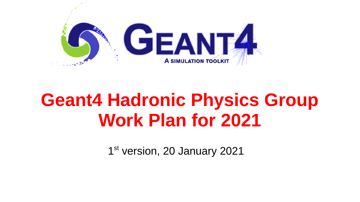

# **Geant4 Hadronic Physics Group Work Plan for 2021**

1st version, 20 January 2021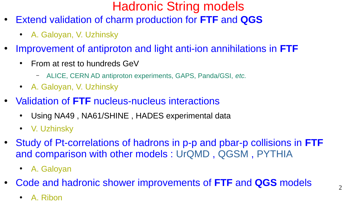# Hadronic String models

- Extend validation of charm production for **FTF** and **QGS**
	- A. Galoyan, V. Uzhinsky
- Improvement of antiproton and light anti-ion annihilations in **FTF**
	- From at rest to hundreds GeV
		- ALICE, CERN AD antiproton experiments, GAPS, Panda/GSI, *etc.*
	- A. Galoyan, V. Uzhinsky
- Validation of FTF nucleus-nucleus interactions
	- Using NA49, NA61/SHINE, HADES experimental data
	- V. Uzhinsky
- Study of Pt-correlations of hadrons in p-p and pbar-p collisions in **FTF** and comparison with other models : UrQMD , QGSM , PYTHIA
	- A. Galoyan
- Code and hadronic shower improvements of **FTF** and **QGS** models
	- A. Ribon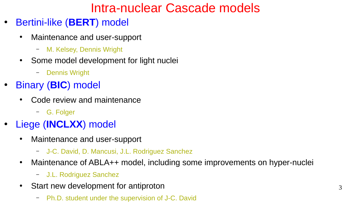# Intra-nuclear Cascade models

- Bertini-like (**BERT**) model
	- Maintenance and user-support
		- M. Kelsey, Dennis Wright
	- Some model development for light nuclei
		- Dennis Wright
- Binary (**BIC**) model
	- Code review and maintenance
		- G. Folger
- Liege (**INCLXX**) model
	- Maintenance and user-support
		- J-C. David, D. Mancusi, J.L. Rodriguez Sanchez
	- Maintenance of ABLA++ model, including some improvements on hyper-nuclei
		- J.L. Rodriguez Sanchez
	- Start new development for antiproton
		- Ph.D. student under the supervision of J-C. David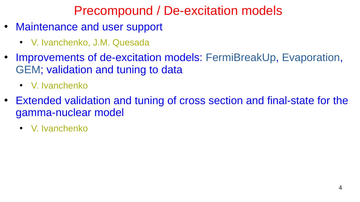## Precompound / De-excitation models

- Maintenance and user support
	- V. Ivanchenko, J.M. Quesada
- Improvements of de-excitation models: FermiBreakUp, Evaporation, GEM; validation and tuning to data
	- V. Ivanchenko
- Extended validation and tuning of cross section and final-state for the gamma-nuclear model
	- V. Ivanchenko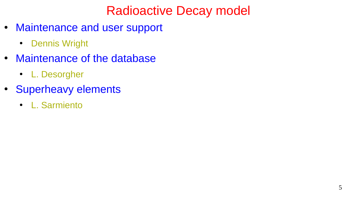# Radioactive Decay model

- Maintenance and user support
	- Dennis Wright
- Maintenance of the database
	- L. Desorgher
- Superheavy elements
	- L. Sarmiento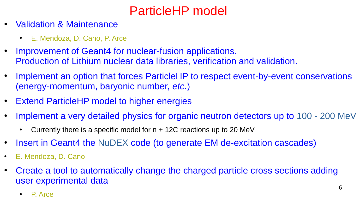# ParticleHP model

- **Validation & Maintenance** 
	- E. Mendoza, D. Cano, P. Arce
- Improvement of Geant4 for nuclear-fusion applications. Production of Lithium nuclear data libraries, verification and validation.
- Implement an option that forces ParticleHP to respect event-by-event conservations (energy-momentum, baryonic number, *etc.*)
- **Extend ParticleHP model to higher energies**
- Implement a very detailed physics for organic neutron detectors up to 100 200 MeV
	- Currently there is a specific model for  $n + 12C$  reactions up to 20 MeV
- Insert in Geant4 the NuDEX code (to generate EM de-excitation cascades)
- E. Mendoza, D. Cano
- Create a tool to automatically change the charged particle cross sections adding user experimental data
	- P. Arce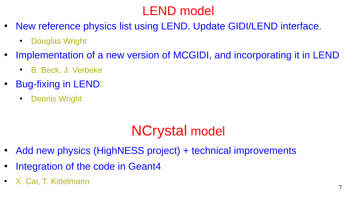# LEND model

- New reference physics list using LEND. Update GIDI/LEND interface.
	- **Douglas Wright**
- Implementation of a new version of MCGIDI, and incorporating it in LEND
	- B. Beck, J. Verbeke
- Bug-fixing in LEND
	- **Dennis Wright**

# NCrystal model

- Add new physics (HighNESS project) + technical improvements
- Integration of the code in Geant4
- X. Cai, T. Kittelmann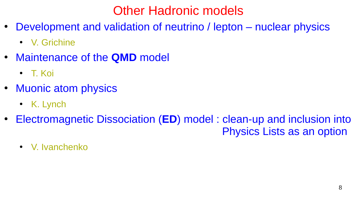#### Other Hadronic models

- Development and validation of neutrino / lepton nuclear physics
	- V. Grichine
- Maintenance of the **QMD** model
	- T. Koi
- Muonic atom physics
	- K. Lynch
- Electromagnetic Dissociation (**ED**) model: clean-up and inclusion into Physics Lists as an option
	- V. Ivanchenko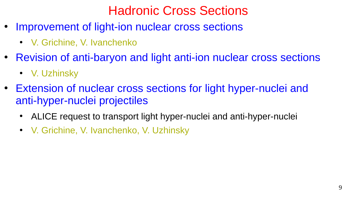#### Hadronic Cross Sections

- Improvement of light-ion nuclear cross sections
	- V. Grichine, V. Ivanchenko
- Revision of anti-baryon and light anti-ion nuclear cross sections
	- V. Uzhinsky
- Extension of nuclear cross sections for light hyper-nuclei and anti-hyper-nuclei projectiles
	- ALICE request to transport light hyper-nuclei and anti-hyper-nuclei
	- V. Grichine, V. Ivanchenko, V. Uzhinsky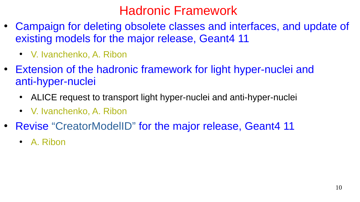#### Hadronic Framework

- Campaign for deleting obsolete classes and interfaces, and update of existing models for the major release, Geant4 11
	- V. Ivanchenko, A. Ribon
- Extension of the hadronic framework for light hyper-nuclei and anti-hyper-nuclei
	- ALICE request to transport light hyper-nuclei and anti-hyper-nuclei
	- V. Ivanchenko, A. Ribon
- Revise "CreatorModelID" for the major release, Geant4 11
	- A. Ribon